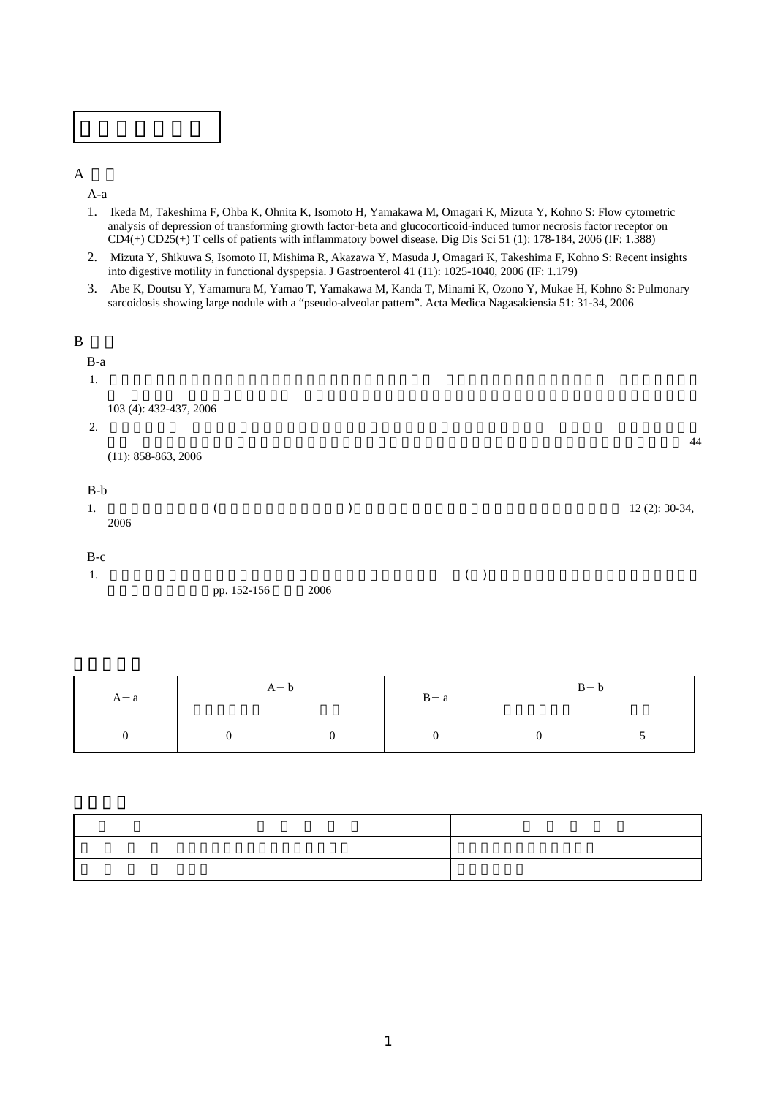

 $\mathbf A$ 

A-a

- 1. Ikeda M, Takeshima F, Ohba K, Ohnita K, Isomoto H, Yamakawa M, Omagari K, Mizuta Y, Kohno S: Flow cytometric analysis of depression of transforming growth factor-beta and glucocorticoid-induced tumor necrosis factor receptor on  $CD4(+)$   $CD25(+)$  T cells of patients with inflammatory bowel disease. Dig Dis Sci 51 (1): 178-184, 2006 (IF: 1.388)
- 2. Mizuta Y, Shikuwa S, Isomoto H, Mishima R, Akazawa Y, Masuda J, Omagari K, Takeshima F, Kohno S: Recent insights into digestive motility in functional dyspepsia. J Gastroenterol 41 (11): 1025-1040, 2006 (IF: 1.179)
- 3. Abe K, Doutsu Y, Yamamura M, Yamao T, Yamakawa M, Kanda T, Minami K, Ozono Y, Mukae H, Kohno S: Pulmonary sarcoidosis showing large nodule with a "pseudo-alveolar pattern". Acta Medica Nagasakiensia 51: 31-34, 2006

| $\, {\bf B}$<br>$B-a$<br>1. |                        |                     |       |                |
|-----------------------------|------------------------|---------------------|-------|----------------|
| 2.                          | 103 (4): 432-437, 2006 |                     |       | 44             |
| $B-b$                       | $(11): 858-863, 2006$  |                     |       |                |
| 1.                          | 2006                   |                     |       | 12 (2): 30-34, |
| $B-c$<br>1.                 |                        | pp. 152-156<br>2006 | $($ ) |                |

|     | A b |  |                | B b |  |
|-----|-----|--|----------------|-----|--|
| A a |     |  | $\mathbf{B}$ a |     |  |
|     |     |  |                |     |  |